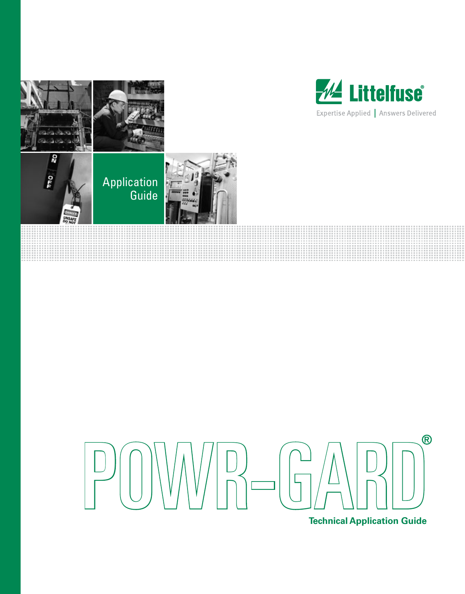

99 a a sa





**Technical Application Guide**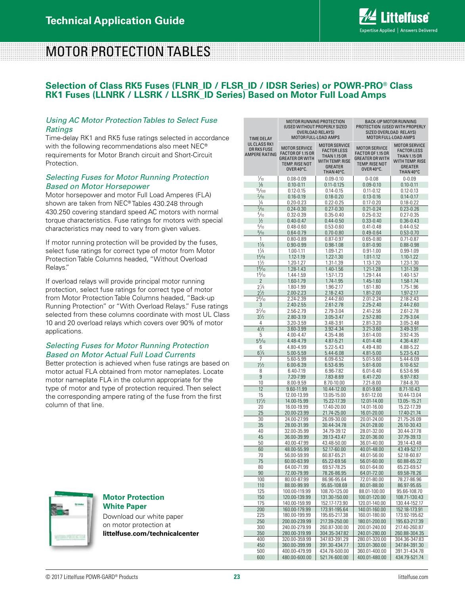BACK-UP MOTOR RUNNING PROTECTION (USED WITH PROPERLY

# MOTOR PROTECTION TABLES

### **Selection of Class RK5 Fuses (FLNR\_ID / FLSR\_ID / IDSR Series) or POWR-PRO® Class RK1 Fuses (LLNRK / LLSRK / LLSRK\_ID Series) Based on Motor Full Load Amps**

#### *Using AC Motor Protection Tables to Select Fuse Ratings*

Time-delay RK1 and RK5 fuse ratings selected in accordance with the following recommendations also meet NEC® requirements for Motor Branch circuit and Short-Circuit Protection.

#### *Selecting Fuses for Motor Running Protection Based on Motor Horsepower*

Motor horsepower and motor Full Load Amperes (FLA) shown are taken from NEC® Tables 430.248 through 430.250 covering standard speed AC motors with normal torque characteristics. Fuse ratings for motors with special characteristics may need to vary from given values.

If motor running protection will be provided by the fuses, select fuse ratings for correct type of motor from Motor Protection Table Columns headed, "Without Overload Relays."

If overload relays will provide principal motor running protection, select fuse ratings for correct type of motor from Motor Protection Table Columns headed, "Back-up Running Protection" or "With Overload Relays." Fuse ratings selected from these columns coordinate with most UL Class 10 and 20 overload relays which covers over 90% of motor applications.

#### *Selecting Fuses for Motor Running Protection Based on Motor Actual Full Load Currents*

Better protection is achieved when fuse ratings are based on motor actual FLA obtained from motor nameplates. Locate motor nameplate FLA in the column appropriate for the type of motor and type of protection required. Then select the corresponding ampere rating of the fuse from the first column of that line.

| <b>TIME DELAY</b>                                   | OVERLOAD RELAYS)<br>MOTOR FULL-LOAD AMPS                                                                          |                                                                                                                      | SIZED OVERLOAD RELAYS)<br>MOTOR FULL-LOAD AMPS                                                                    |                                                                                                                     |  |  |
|-----------------------------------------------------|-------------------------------------------------------------------------------------------------------------------|----------------------------------------------------------------------------------------------------------------------|-------------------------------------------------------------------------------------------------------------------|---------------------------------------------------------------------------------------------------------------------|--|--|
| <b>UL CLASS RK1</b><br>OR RK5 FUSE<br>AMPERE RATING | <b>MOTOR SERVICE</b><br><b>FACTOR OF 1.15 OR</b><br><b>GREATER OR WITH</b><br><b>TEMP. RISE NOT</b><br>OVER 40°C. | <b>MOTOR SERVICE</b><br><b>FACTOR LESS</b><br><b>THAN 1.15 OR</b><br>WITH TEMP. RISE<br><b>GREATER</b><br>THAN 40°C. | <b>MOTOR SERVICE</b><br><b>FACTOR OF 1.15 OR</b><br><b>GREATER OR WITH</b><br><b>TEMP. RISE NOT</b><br>OVER 40°C. | <b>MOTOR SERVICE</b><br><b>FACTOR LESS</b><br><b>THAN 1.15 OR</b><br>WITH TEMP. RISE<br><b>GREATER</b><br>THAN 40°C |  |  |
| ⅓0                                                  | $0.08 - 0.09$                                                                                                     | $0.09 - 0.10$                                                                                                        | $0 - 0.08$                                                                                                        | $0 - 0.09$                                                                                                          |  |  |
| $\frac{1}{8}$                                       | $0.10 - 0.11$                                                                                                     | $0.11 - 0.125$                                                                                                       | $0.09 - 0.10$                                                                                                     | $0.10 - 0.11$                                                                                                       |  |  |
| $\frac{15}{100}$                                    | $0.12 - 0.15$                                                                                                     | $0.14 - 0.15$                                                                                                        | $0.11 - 0.12$                                                                                                     | $0.12 - 0.13$                                                                                                       |  |  |
| $\frac{2}{10}$                                      | $0.16 - 0.19$                                                                                                     | $0.18 - 0.20$                                                                                                        | $0.13 - 0.16$                                                                                                     | $0.14 - 0.17$                                                                                                       |  |  |
| $\frac{1}{4}$                                       | $0.20 - 0.23$                                                                                                     | 0.22-0.25                                                                                                            | $0.17 - 0.20$                                                                                                     | $0.18 - 0.22$                                                                                                       |  |  |
| $\frac{3}{10}$                                      | $0.24 - 0.30$                                                                                                     | $0.27 - 0.30$                                                                                                        | $0.21 - 0.24$                                                                                                     | $0.23 - 0.26$                                                                                                       |  |  |
| $\frac{4}{10}$                                      | $0.32 - 0.39$                                                                                                     | $0.35 - 0.40$                                                                                                        | $0.25 - 0.32$                                                                                                     | $0.27 - 0.35$                                                                                                       |  |  |
| $\frac{1}{2}$                                       | $0.40 - 0.47$                                                                                                     | $0.44 - 0.50$                                                                                                        | $0.33 - 0.40$                                                                                                     | $0.36 - 0.43$                                                                                                       |  |  |
| $\frac{6}{10}$                                      | $0.48 - 0.60$                                                                                                     | $0.53 - 0.60$                                                                                                        | $0.41 - 0.48$                                                                                                     | $0.44 - 0.52$                                                                                                       |  |  |
| $\frac{8}{10}$                                      | 0.64-0.79                                                                                                         | $0.70 - 0.80$                                                                                                        | $0.49 - 0.64$                                                                                                     | $0.53 - 0.70$                                                                                                       |  |  |
| 1                                                   | $0.80 - 0.89$                                                                                                     | 0.87-0.97                                                                                                            | $0.65 - 0.80$                                                                                                     | $0.71 - 0.87$                                                                                                       |  |  |
| $1\frac{1}{8}$                                      | $0.90 - 0.99$                                                                                                     | $0.98 - 1.08$                                                                                                        | $0.81 - 0.90$                                                                                                     | $0.88 - 0.98$                                                                                                       |  |  |
| $1\frac{1}{4}$                                      | 1.00-1.11                                                                                                         | 1.09-1.21                                                                                                            | $0.91 - 1.00$                                                                                                     | 0.99-1.09                                                                                                           |  |  |
| $1^{4}/10$                                          | 1.12-1.19                                                                                                         | 1.22-1.30                                                                                                            | 1.01-1.12                                                                                                         | 1.10-1.22                                                                                                           |  |  |
| $1\frac{1}{2}$                                      | 1.20-1.27                                                                                                         | 1.31-1.39                                                                                                            | 1.13-1.20                                                                                                         | 1.23-1.30                                                                                                           |  |  |
| 1 <sup>6</sup> /10<br>$1\frac{8}{10}$               | 1.28-1.43                                                                                                         | 1.40-1.56                                                                                                            | 1.21-1.28<br>1.29-1.44                                                                                            | 1.31-1.39                                                                                                           |  |  |
| $\overline{2}$                                      | 1.44-1.59<br>1.60-1.79                                                                                            | 1.57-1.73<br>1.74-1.95                                                                                               | 1.45-1.60                                                                                                         | 1.40-1.57<br>1.58-1.74                                                                                              |  |  |
| $2\frac{1}{4}$                                      | 1.80-1.99                                                                                                         | 1.96-2.17                                                                                                            | 1.61-1.80                                                                                                         | 1.75-1.96                                                                                                           |  |  |
| $2\frac{1}{2}$                                      | 2.00-2.23                                                                                                         | 2.18-2.43                                                                                                            | 1.81-2.00                                                                                                         | 1.97-2.17                                                                                                           |  |  |
| $2\frac{8}{10}$                                     | 2.24-2.39                                                                                                         | 2.44-2.60                                                                                                            | 2.01-2.24                                                                                                         | 2.18-2.43                                                                                                           |  |  |
| 3                                                   | 2.40-2.55                                                                                                         | 2.61-2.78                                                                                                            | 2.25-2.40                                                                                                         | 2.44-2.60                                                                                                           |  |  |
| $3^2/10$                                            | 2.56-2.79                                                                                                         | 2.79-3.04                                                                                                            | 2.41-2.56                                                                                                         | 2.61-2.78                                                                                                           |  |  |
| $3\frac{1}{2}$                                      | 2.80-3.19                                                                                                         | 3.05-3.47                                                                                                            | 2.57-2.80                                                                                                         | 2.79-3.04                                                                                                           |  |  |
| 4                                                   | 3.20-3.59                                                                                                         | 3.48-3.91                                                                                                            | 2.81-3.20                                                                                                         | 3.05-3.48                                                                                                           |  |  |
| $4\frac{1}{2}$                                      | 3.60-3.99                                                                                                         | 3.92-4.34                                                                                                            | 3.21-3.60                                                                                                         | 3.49-3.91                                                                                                           |  |  |
| 5                                                   | 4.00-4.47                                                                                                         | 4.35-4.86                                                                                                            | 3.61-4.00                                                                                                         | 3.92-4.35                                                                                                           |  |  |
| $5^{6}/_{10}$                                       | 4.48-4.79                                                                                                         | 4.87-5.21                                                                                                            | 4.01-4.48                                                                                                         | 4.36-4.87                                                                                                           |  |  |
| 6                                                   | 4.80-4.99                                                                                                         | 5.22-5.43                                                                                                            | 4.49-4.80                                                                                                         | 4.88-5.22                                                                                                           |  |  |
| $6\frac{1}{4}$                                      | 5.00-5.59                                                                                                         | 5.44-6.08                                                                                                            | 4.81-5.00                                                                                                         | 5.23-5.43                                                                                                           |  |  |
| 7                                                   | 5.60-5.99                                                                                                         | 6.09-6.52                                                                                                            | 5.01-5.60                                                                                                         | 5.44-6.09                                                                                                           |  |  |
| 7½<br>8                                             | 6.00-6.39<br>6.40-7.19                                                                                            | 6.53-6.95<br>6.96-7.82                                                                                               | $5.61 - 6.00$<br>6.01-6.40                                                                                        | $6.10 - 6.52$<br>6.53-6.96                                                                                          |  |  |
| 9                                                   | 7.20-7.99                                                                                                         | 7.83-8.69                                                                                                            | 6.41-7.20                                                                                                         | 6.97-7.83                                                                                                           |  |  |
| 10                                                  | 8.00-9.59                                                                                                         | 8.70-10.00                                                                                                           | 7.21-8.00                                                                                                         | 7.84-8.70                                                                                                           |  |  |
| 12                                                  | 9.60-11.99                                                                                                        | 10.44-12.00                                                                                                          | 8.01-9.60                                                                                                         | 8.71-10.43                                                                                                          |  |  |
| 15                                                  | 12.00-13.99                                                                                                       | 13.05-15.00                                                                                                          | 9.61-12.00                                                                                                        | 10.44-13.04                                                                                                         |  |  |
| $17\frac{1}{2}$                                     | 14.00-15.99                                                                                                       | 15.22-17.39                                                                                                          | 12.01-14.00                                                                                                       | 13.05-15.21                                                                                                         |  |  |
| 20                                                  | 16.00-19.99                                                                                                       | 17.40-20.00                                                                                                          | 14.01-16.00                                                                                                       | 15.22-17.39                                                                                                         |  |  |
| 25                                                  | 20.00-23.99                                                                                                       | 21.74-25.00                                                                                                          | 16.01-20.00                                                                                                       | 17.40-21.74                                                                                                         |  |  |
| 30                                                  | 24.00-27.99                                                                                                       | 26.09-30.00                                                                                                          | 20.01-24.00                                                                                                       | 21.75-26.09                                                                                                         |  |  |
| 35                                                  | 28.00-31.99                                                                                                       | 30.44-34.78                                                                                                          | 24.01-28.00                                                                                                       | 26.10-30.43                                                                                                         |  |  |
| 40                                                  | 32.00-35.99                                                                                                       | 34.79-39.12                                                                                                          | 28.01-32.00                                                                                                       | 30.44-37.78                                                                                                         |  |  |
| 45                                                  | 36.00-39.99                                                                                                       | 39.13-43.47                                                                                                          | 32.01-36.00                                                                                                       | 37.79-39.13                                                                                                         |  |  |
| 50                                                  | 40.00-47.99                                                                                                       | 43.48-50.00                                                                                                          | 36.01-40.00                                                                                                       | 39.14-43.48                                                                                                         |  |  |
| 60                                                  | 48.00-55.99                                                                                                       | 52.17-60.00                                                                                                          | 40.01-48.00                                                                                                       | 43.49-52.17                                                                                                         |  |  |
| 70                                                  | 56.00-59.99                                                                                                       | 60.87-65.21                                                                                                          | 48.01-56.00                                                                                                       | 52.18-60.87                                                                                                         |  |  |
| 75                                                  | 60.00-63.99                                                                                                       | 65.22-69.56                                                                                                          | 56.01-60.00                                                                                                       | 60.88-65.22                                                                                                         |  |  |
| 80                                                  | 64.00-71.99                                                                                                       | 69.57-78.25<br>78.26-86.95                                                                                           | 60.01-64.00                                                                                                       | 65.23-69.57                                                                                                         |  |  |
| 90<br>100                                           | 72.00-79.99<br>80.00-87.99                                                                                        | 86.96-95.64                                                                                                          | 64.01-72.00<br>72.01-80.00                                                                                        | 69.58-78.26<br>78.27-86.96                                                                                          |  |  |
| 110                                                 | 88.00-99.99                                                                                                       | 95.65-108.69                                                                                                         | 80.01-88.00                                                                                                       | 86.97-95.65                                                                                                         |  |  |
| 125                                                 | 100.00-119.99                                                                                                     | 108.70-125.00                                                                                                        | 88.01-100.00                                                                                                      | 95.66-108.70                                                                                                        |  |  |
| 150                                                 | 120.00-139.99                                                                                                     | 131.30-150.00                                                                                                        | 100.01-120.00                                                                                                     | 108.71-130.43                                                                                                       |  |  |
| 175                                                 | 140.00-159.99                                                                                                     | 152.17-173.90                                                                                                        | 120.01-140.00                                                                                                     | 130.44-152.17                                                                                                       |  |  |
| 200                                                 | 160.00-179.99                                                                                                     | 173.91-195.64                                                                                                        | 140.01-160.00                                                                                                     | 152.18-173.91                                                                                                       |  |  |
| 225                                                 | 180.00-199.99                                                                                                     | 195.65-217.38                                                                                                        | 160.01-180.00                                                                                                     | 173.92-195.62                                                                                                       |  |  |
| 250                                                 | 200.00-239.99                                                                                                     | 217.39-250.00                                                                                                        | 180.01-200.00                                                                                                     | 195.63-217.39                                                                                                       |  |  |
| 300                                                 | 240.00-279.99                                                                                                     | 260.87-300.00                                                                                                        | 200.01-240.00                                                                                                     | 217.40-260.87                                                                                                       |  |  |
| 350                                                 | 280.00-319.99                                                                                                     | 304.35-347.82                                                                                                        | 240.01-280.00                                                                                                     | 260.88-304.35                                                                                                       |  |  |
| 400                                                 | 320.00-359.99                                                                                                     | 347.83-391.29                                                                                                        | 280.01-320.00                                                                                                     | 304.36-347.83                                                                                                       |  |  |
| 450                                                 | 360.00-399.99                                                                                                     | 391.30-434.77                                                                                                        | 320.01-360.00                                                                                                     | 347.84-391.30                                                                                                       |  |  |
| 500                                                 | 400.00-479.99                                                                                                     | 434.78-500.00                                                                                                        | 360.01-400.00                                                                                                     | 391.31-434.78                                                                                                       |  |  |
| 600                                                 | 480.00-600.00                                                                                                     | 521.74-600.00                                                                                                        | 400.01-480.00                                                                                                     | 434.79-521.74                                                                                                       |  |  |

MOTOR RUNNING PROTECTION (USED WITHOUT PROPERLY SIZED



#### **Motor Protection White Paper**

Download our white paper on motor protection at **littelfuse.com/technicalcenter**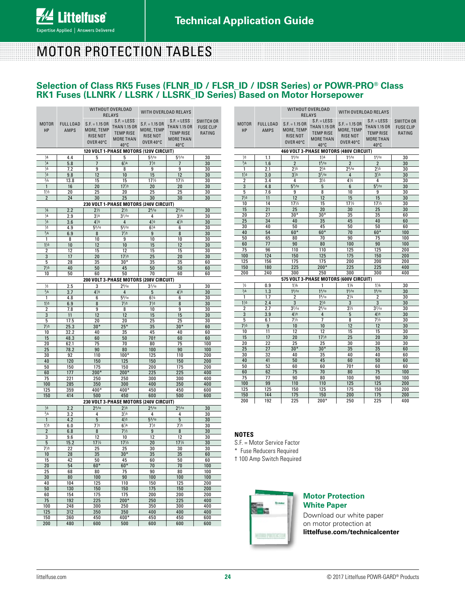# MOTOR PROTECTION TABLES

### **Selection of Class RK5 Fuses (FLNR\_ID / FLSR\_ID / IDSR Series) or POWR-PRO® Class RK1 Fuses (LLNRK / LLSRK / LLSRK\_ID Series) Based on Motor Horsepower**

|                                                                                                                 |                  | WITHOUT OVERLOAD                            | <b>RELAYS</b>                  | WITH OVERLOAD RELAYS           |                                |                  |  |  |  |  |  |
|-----------------------------------------------------------------------------------------------------------------|------------------|---------------------------------------------|--------------------------------|--------------------------------|--------------------------------|------------------|--|--|--|--|--|
|                                                                                                                 |                  |                                             | $S.F. = LESS$                  |                                | $S.F. = LESS$                  | <b>SWITCH OR</b> |  |  |  |  |  |
| <b>MOTOR</b>                                                                                                    | <b>FULL LOAD</b> | $S.F. = 1.15 OR$                            | <b>THAN 1.15 OR</b>            | $S.F. = 1.15 OR$               | <b>THAN 1.15 OR</b>            | <b>FUSE CLIP</b> |  |  |  |  |  |
| <b>HP</b>                                                                                                       | <b>AMPS</b>      | MORE, TEMP<br><b>RISE NOT</b>               | <b>TEMP RISE</b>               | MORE, TEMP<br><b>RISE NOT</b>  | <b>TEMP RISE</b>               | RATING           |  |  |  |  |  |
|                                                                                                                 |                  | OVER 40°C                                   | <b>MORE THAN</b>               | OVER 40°C                      | <b>MORE THAN</b>               |                  |  |  |  |  |  |
|                                                                                                                 |                  |                                             | $40^{\circ}$ C                 |                                | $40^{\circ}$ C                 |                  |  |  |  |  |  |
| 120 VOLT 1-PHASE MOTORS (120V CIRCUIT)<br>$\frac{1}{6}$<br>$5^{6}/10$<br>$5\frac{6}{10}$<br>30<br>4.4<br>5<br>5 |                  |                                             |                                |                                |                                |                  |  |  |  |  |  |
| $\frac{1}{4}$                                                                                                   | 5.8              | $\overline{1}$                              | $6\frac{1}{4}$                 | 7 <sup>1</sup> / <sub>2</sub>  | $\overline{7}$                 | 30               |  |  |  |  |  |
| $\frac{1}{3}$                                                                                                   | 7.2              | 9                                           | 8                              | 9                              | 9                              | 30               |  |  |  |  |  |
| $\frac{1}{2}$                                                                                                   | 9.8              | 12                                          | 10                             | 15                             | 12                             | 30               |  |  |  |  |  |
| $^{3}/_{4}$                                                                                                     | 13.8             | 15                                          | 15                             | 17 <sup>1</sup> / <sub>2</sub> | 17 <sup>1</sup> / <sub>2</sub> | 30               |  |  |  |  |  |
| $\mathbf{1}$                                                                                                    | 16               | 20                                          | 17 <sup>1</sup> / <sub>2</sub> | 20                             | 20                             | 30               |  |  |  |  |  |
| $1\frac{1}{2}$<br>$\overline{2}$                                                                                | 20<br>24         | 25<br>30                                    | 20<br>25                       | 25<br>30                       | 25<br>30                       | 30<br>30         |  |  |  |  |  |
|                                                                                                                 |                  | 230 VOLT 1-PHASE MOTORS (240V CIRCUIT)      |                                |                                |                                |                  |  |  |  |  |  |
| $\frac{1}{6}$                                                                                                   | 2.2              | $2\frac{1}{2}$                              | $2\frac{1}{2}$                 | $2^{8}/10$                     | $2^{8}/10$                     | 30               |  |  |  |  |  |
| $\frac{1}{4}$                                                                                                   | 2.9              | 3 <sub>2</sub>                              | $3^{2/10}$                     | 4                              | $3\frac{1}{2}$                 | 30               |  |  |  |  |  |
| $\frac{1}{3}$                                                                                                   | 3.6              | $4^{1/2}$                                   | 4                              | $4\frac{1}{2}$                 | $4\frac{1}{2}$                 | 30               |  |  |  |  |  |
| 1/2                                                                                                             | 4.9              | $5^{6}/10$                                  | $5^{6}/10$                     | $6\frac{1}{4}$                 | 6                              | 30               |  |  |  |  |  |
| $^{3}/_{4}$                                                                                                     | 6.9              | 8                                           | $7\frac{1}{2}$                 | 9                              | 8                              | 30               |  |  |  |  |  |
| 1<br>$1\frac{1}{2}$                                                                                             | 8<br>10          | 10<br>12                                    | 9<br>10                        | 10<br>15                       | 10<br>12                       | 30<br>30         |  |  |  |  |  |
| $\overline{2}$                                                                                                  | 12               | 15                                          | 12                             | 15                             | 15                             | 30               |  |  |  |  |  |
| 3                                                                                                               | 17               | 20                                          | 17 <sup>1</sup> /2             | 25                             | 20                             | 30               |  |  |  |  |  |
| 5                                                                                                               | 28               | 35                                          | $30*$                          | 35                             | 35                             | 60               |  |  |  |  |  |
| 7 <sup>1</sup>                                                                                                  | 40               | 50                                          | 45                             | 50                             | 50                             | 60               |  |  |  |  |  |
| 10                                                                                                              | 50               | 60                                          | 50                             | 70                             | 60                             | 60               |  |  |  |  |  |
| $\frac{1}{2}$                                                                                                   | 2.5              | 200 VOLT 3-PHASE MOTORS (208V CIRCUIT)<br>3 | $2^{8}/10$                     | $3^{2}/10$                     | 3                              | 30               |  |  |  |  |  |
| $^{3}/4$                                                                                                        | 3.7              | $4\frac{1}{2}$                              | 4                              | 5                              | $4\frac{1}{2}$                 | 30               |  |  |  |  |  |
| 1                                                                                                               | 4.8              | 6                                           | $5^{6/10}$                     | $6\frac{1}{4}$                 | 6                              | 30               |  |  |  |  |  |
| $1\frac{1}{2}$                                                                                                  | 6.9              | 8                                           | 7 <sup>1</sup> /2              | 7 <sup>1</sup> /2              | 8                              | 30               |  |  |  |  |  |
| 2                                                                                                               | 7.8              | 9                                           | 8                              | 10                             | 9                              | 30               |  |  |  |  |  |
| 3                                                                                                               | 11               | 12                                          | 12                             | 15                             | 15                             | 30               |  |  |  |  |  |
| 5<br>$7\frac{1}{2}$                                                                                             | 17.5<br>25.3     | 20<br>$30*$                                 | 20<br>$25*$                    | 25<br>35                       | 25<br>$30*$                    | 30<br>60         |  |  |  |  |  |
| 10                                                                                                              | 32.2             | 40                                          | 35                             | 45                             | 40                             | 60               |  |  |  |  |  |
| 15                                                                                                              | 48.3             | 60                                          | 50                             | <b>70t</b>                     | 60                             | 60               |  |  |  |  |  |
| 20                                                                                                              | 62.1             | 75                                          | 70                             | 80                             | 75                             | 100              |  |  |  |  |  |
| 25                                                                                                              | 78.2             | 90                                          | 80                             | 100                            | 90                             | 100              |  |  |  |  |  |
| 30<br>40                                                                                                        | 92<br>120        | 110<br>150                                  | $100*$<br>125                  | 125<br>150                     | 110<br>150                     | 200<br>200       |  |  |  |  |  |
| 50                                                                                                              | 150              | 175                                         | 150                            | 200                            | 175                            | 200              |  |  |  |  |  |
| 60                                                                                                              | 177              | $200*$                                      | $200*$                         | 225                            | 225                            | 400              |  |  |  |  |  |
| 75                                                                                                              | 221              | 250                                         | 250                            | 300                            | 300                            | 400              |  |  |  |  |  |
| 100                                                                                                             | 285              | 350                                         | 300                            | 400                            | 350                            | 400              |  |  |  |  |  |
| 125<br>150                                                                                                      | 359<br>414       | $400*$<br>500                               | $400*$<br>450                  | 450<br>600                     | 450<br>500                     | 600<br>600       |  |  |  |  |  |
|                                                                                                                 |                  | 230 VOLT 3-PHASE MOTORS (240V CIRCUIT)      |                                |                                |                                |                  |  |  |  |  |  |
| $\frac{1}{2}$                                                                                                   | 2.2              | 2 <sup>8</sup> /10                          | $2\frac{1}{2}$                 | $2^{8/10}$                     | $2^{8/10}$                     | 30               |  |  |  |  |  |
| $^{3}/4$                                                                                                        | 3.2              | 4                                           | $3\frac{1}{2}$                 | 4                              | 4                              | 30               |  |  |  |  |  |
| 1                                                                                                               | 4.2              | 5                                           | $4\frac{1}{2}$                 | $5^{6}/10$                     | 5                              | 30               |  |  |  |  |  |
| $1\frac{1}{2}$                                                                                                  | 6.0              | $7\frac{1}{2}$                              | $6\frac{1}{4}$                 | $7\frac{1}{2}$                 | $7\frac{1}{2}$                 | 30               |  |  |  |  |  |
| 2<br>3                                                                                                          | 6.8              | 8<br>12                                     | 7 <sup>1</sup> /2<br>10        | 9<br>12                        | 8<br>12                        | 30               |  |  |  |  |  |
| 5                                                                                                               | 9.6<br>15.2      | 17 <sup>1</sup> / <sub>2</sub>              | 17 <sup>1</sup> /2             | 20                             | 17 <sup>1</sup> /2             | 30<br>30         |  |  |  |  |  |
| $7\frac{1}{2}$                                                                                                  | 22               | 25                                          | 25                             | 30                             | 30                             | 30               |  |  |  |  |  |
| 10                                                                                                              | 28               | 35                                          | $30*$                          | 35                             | 35                             | 60               |  |  |  |  |  |
| 15                                                                                                              | 42               | 50                                          | 45                             | 60                             | 50                             | 60               |  |  |  |  |  |
| 20                                                                                                              | 54               | $60*$                                       | $60*$                          | 70                             | 70                             | 100              |  |  |  |  |  |
| 25<br>30                                                                                                        | 68<br>80         | 80<br>100                                   | 75<br>90                       | 90<br>100                      | 80<br>100                      | 100<br>100       |  |  |  |  |  |
| 40                                                                                                              | 104              | 125                                         | 110                            | 150                            | 125                            | 200              |  |  |  |  |  |
| 50                                                                                                              | 130              | 150                                         | 150                            | 175                            | 150                            | 200              |  |  |  |  |  |
| 60                                                                                                              | 154              | 175                                         | 175                            | 200                            | 200                            | 200              |  |  |  |  |  |
| 75                                                                                                              | 192              | 225                                         | $200*$                         | 250                            | 225                            | 400              |  |  |  |  |  |
| 100<br>125                                                                                                      | 248<br>312       | 300<br>350                                  | 250<br>350                     | 350<br>400                     | 300<br>400                     | 400<br>400       |  |  |  |  |  |
| 150                                                                                                             | 360              | 450                                         | 400*                           | 450                            | 450                            | 600              |  |  |  |  |  |
| 200                                                                                                             | 480              | 600                                         | 500                            | 600                            | 600                            | 600              |  |  |  |  |  |

|                                        |                  |                                | <b>WITHOUT OVERLOAD</b><br><b>RELAYS</b> | WITH OVERLOAD RELAYS |                                |                  |  |  |  |  |  |
|----------------------------------------|------------------|--------------------------------|------------------------------------------|----------------------|--------------------------------|------------------|--|--|--|--|--|
|                                        |                  |                                | $S.F. = LESS$                            | $S.F. = LESS$        |                                | <b>SWITCH OR</b> |  |  |  |  |  |
| <b>MOTOR</b>                           | <b>FULL LOAD</b> | $S.F. = 1.15 OR$               | <b>THAN 1.15 OR</b>                      | $S.F. = 1.15 OR$     | <b>THAN 1.15 OR</b>            | <b>FUSE CLIP</b> |  |  |  |  |  |
| <b>HP</b>                              | <b>AMPS</b>      | MORE, TEMP                     | <b>TEMP RISE</b>                         | MORE, TEMP           | <b>TEMP RISE</b>               | RATING           |  |  |  |  |  |
|                                        |                  | <b>RISE NOT</b>                | <b>MORE THAN</b>                         | <b>RISE NOT</b>      | <b>MORE THAN</b>               |                  |  |  |  |  |  |
|                                        |                  | OVER 40°C                      | 40°C                                     | OVER 40°C            | $40^{\circ}$ C                 |                  |  |  |  |  |  |
| 460 VOLT 3-PHASE MOTORS (480V CIRCUIT) |                  |                                |                                          |                      |                                |                  |  |  |  |  |  |
| $\frac{1}{2}$                          | 1.1              | 1 <sup>4</sup> /10             | $1\frac{1}{4}$                           | 1 <sup>4</sup> /10   | 1 <sup>4</sup> /10             | $\overline{30}$  |  |  |  |  |  |
| $\frac{3}{4}$                          | 1.6              | $\overline{2}$                 | 1 <sup>8</sup> /10                       | $\overline{2}$       | $\overline{2}$                 | 30               |  |  |  |  |  |
| 1                                      | 2.1              | $2\frac{1}{2}$                 | $2\frac{1}{4}$                           | $2^{8/10}$           | $2\frac{1}{2}$                 | 30               |  |  |  |  |  |
| $1\frac{1}{2}$                         | 3.0              | 3 <sup>1</sup> / <sub>2</sub>  | $3^{2}/10$                               | 4                    | $3\frac{1}{2}$                 | 30               |  |  |  |  |  |
| 2                                      | 3.4              | 4                              | $3\frac{1}{2}$                           | $4\frac{1}{2}$       | 4                              | 30               |  |  |  |  |  |
| $\overline{3}$                         | 4.8              | $5^{6}/10$                     | 5                                        | 6                    | $5^{6}/10$                     | 30               |  |  |  |  |  |
| 5                                      | 7.6              | 9                              | 8                                        | 10                   | 9                              | 30               |  |  |  |  |  |
| 7 <sup>1</sup> / <sub>2</sub>          | 11               | 12                             | 12                                       | 15                   | 15                             | 30               |  |  |  |  |  |
| 10                                     | 14               | 17 <sup>1</sup> / <sub>2</sub> | 15                                       | 17 <sup>1</sup> /2   | 17 <sup>1</sup> / <sub>2</sub> | 30               |  |  |  |  |  |
| 15                                     | 21               | 25                             | 20                                       | 30                   | 25                             | 30               |  |  |  |  |  |
| 20                                     | 27               | $30*$                          | $30*$                                    | 35                   | 35                             | 60               |  |  |  |  |  |
| 25                                     | 34               | 40                             | 35                                       | 45                   | 40                             | 60               |  |  |  |  |  |
| 30                                     | 40               | 50                             | 45                                       | 50                   | 50                             | 60               |  |  |  |  |  |
| 40                                     | 54               | $60*$                          | $60*$                                    | 70                   | $60*$                          | 100              |  |  |  |  |  |
| 50                                     | 65               | 80                             | 70                                       | 90                   | 75                             | 100              |  |  |  |  |  |
| 60                                     | 77               | 90                             | 80                                       | 100                  | 90                             | 100              |  |  |  |  |  |
| 75                                     | 96               | 110                            | 110                                      | 125                  | 125                            | 200              |  |  |  |  |  |
| 100                                    | 124              | 150                            | 125                                      | 175                  | 150                            | 200              |  |  |  |  |  |
| 125                                    | 156              | 175                            | 175                                      | 200                  | 200                            | 200              |  |  |  |  |  |
| 150                                    | 180              | 225                            | $200*$                                   | 225                  | 225                            | 400              |  |  |  |  |  |
| 200                                    | 240              | 300                            | 250                                      | 300                  | 300                            | 400              |  |  |  |  |  |
|                                        |                  |                                | 575 VOLT 3-PHASE MOTORS (600V CIRCUIT)   |                      |                                |                  |  |  |  |  |  |
| $\frac{1}{2}$                          | 0.9              | $1\frac{1}{8}$                 | 1                                        | $1\frac{1}{8}$       | $1\frac{1}{8}$                 | $\overline{30}$  |  |  |  |  |  |
| $\frac{3}{4}$                          | 1.3              | 1 <sup>6</sup> /10             | 1 <sup>4</sup> /10                       | 1 <sup>6</sup> /10   | 1 <sup>6</sup> /10             | 30               |  |  |  |  |  |
| $\mathbf{1}$                           | 1.7              | $\overline{2}$                 | 1 <sup>8</sup> /10                       | $2^{1/4}$            | $\overline{2}$                 | 30               |  |  |  |  |  |
| $1\frac{1}{2}$                         | 2.4              | 3                              | $2\frac{1}{2}$                           | 3                    | 3                              | 30               |  |  |  |  |  |
| 2                                      | 2.7              | $3^{2}/10$                     | $2^{8}/10$                               | $3\frac{1}{2}$       | $3^{2}/10$                     | 30               |  |  |  |  |  |
| $\overline{3}$                         | 3.9              | $4\frac{1}{2}$                 | 4                                        | 5                    | $4\frac{1}{2}$                 | 30               |  |  |  |  |  |
| 5                                      | 6.1              | $7\frac{1}{2}$                 | 7                                        | 8                    | $7\frac{1}{2}$                 | 30               |  |  |  |  |  |
| 7 <sup>1</sup> / <sub>2</sub>          | 9                | 10                             | 10                                       | 12                   | 12                             | 30               |  |  |  |  |  |
| 10                                     | 11               | 12                             | 12                                       | 15                   | 15                             | 30               |  |  |  |  |  |
| 15<br>20                               | 17<br>22         | 20<br>25                       | 17 <sup>1</sup> / <sub>2</sub><br>25     | 25<br>30             | 20<br>30                       | 30<br>30         |  |  |  |  |  |
| $\overline{25}$                        | 27               | $30*$                          | $30*$                                    | 35                   | 35                             | 60               |  |  |  |  |  |
| 30                                     | 32               | 40                             | 35                                       | 40                   | 40                             | 60               |  |  |  |  |  |
| 40                                     | 41               | 50                             | 45                                       | 60                   | 50                             | 60               |  |  |  |  |  |
| 50                                     | 52               | 60                             | 60                                       | <b>70t</b>           | 60                             | 60               |  |  |  |  |  |
| 60                                     | 62               | 75                             | 70                                       | 80                   | 75                             | 100              |  |  |  |  |  |
| 75                                     | 77               | 90                             | 80                                       | 100                  | 90                             | 100              |  |  |  |  |  |
| 100                                    | 99               | 110                            | 110                                      | 125                  | 125                            | 200              |  |  |  |  |  |
| 125                                    | 125              | 150                            | 125                                      | 175                  | 150                            | 200              |  |  |  |  |  |
| 150                                    | 144              | 175                            | 150                                      | 200                  | 175                            | 200              |  |  |  |  |  |
| 200                                    | 192              | 225                            | $200*$                                   | 250                  | 225                            | 400              |  |  |  |  |  |

#### **NOTES**

S.F. = Motor Service Factor

\* Fuse Reducers Required

† 100 Amp Switch Required



#### **Motor Protection White Paper**

Download our white paper on motor protection at **littelfuse.com/technicalcenter**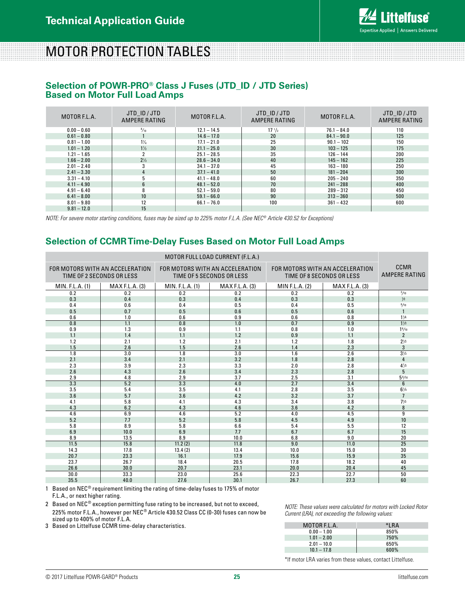

# MOTOR PROTECTION TABLES

### **Selection of POWR-PRO® Class J Fuses (JTD\_ID / JTD Series) Based on Motor Full Load Amps**

| MOTOR F.L.A.  | JTD ID/JTD<br>AMPERE RATING | MOTOR F.L.A.  | JTD ID/JTD<br>AMPERE RATING | MOTOR F.L.A.  | JTD ID/JTD<br>AMPERE RATING |
|---------------|-----------------------------|---------------|-----------------------------|---------------|-----------------------------|
| $0.00 - 0.60$ | $\frac{8}{10}$              | $12.1 - 14.5$ | $17 \frac{1}{2}$            | $76.1 - 84.0$ | 110                         |
| $0.61 - 0.80$ |                             | $14.6 - 17.0$ | 20                          | $84.1 - 90.0$ | 125                         |
| $0.81 - 1.00$ | $1\frac{1}{4}$              | $17.1 - 21.0$ | 25                          | $90.1 - 102$  | 150                         |
| $1.01 - 1.20$ | $1\frac{1}{2}$              | $21.1 - 25.0$ | 30                          | $103 - 125$   | 175                         |
| $1.21 - 1.65$ |                             | $25.1 - 28.5$ | 35                          | $126 - 144$   | 200                         |
| $1.66 - 2.00$ | $2\frac{1}{2}$              | $28.6 - 34.0$ | 40                          | $145 - 162$   | 225                         |
| $2.01 - 2.40$ | 3                           | $34.1 - 37.0$ | 45                          | $163 - 180$   | 250                         |
| $2.41 - 3.30$ | 4                           | $37.1 - 41.0$ | 50                          | $181 - 204$   | 300                         |
| $3.31 - 4.10$ | 5                           | $41.1 - 48.0$ | 60                          | $205 - 240$   | 350                         |
| $4.11 - 4.90$ | 6                           | $48.1 - 52.0$ | 70                          | $241 - 288$   | 400                         |
| $4.91 - 6.40$ | 8                           | $52.1 - 59.0$ | 80                          | $289 - 312$   | 450                         |
| $6.41 - 8.00$ | 10                          | $59.1 - 66.0$ | 90                          | $313 - 360$   | 500                         |
| $8.01 - 9.80$ | 12                          | $66.1 - 76.0$ | 100                         | $361 - 432$   | 600                         |
| $9.81 - 12.0$ | 15                          |               |                             |               |                             |

*NOTE: For severe motor starting conditions, fuses may be sized up to 225% motor F.L.A. (See NEC® Article 430.52 for Exceptions)*

## **Selection of CCMR Time-Delay Fuses Based on Motor Full Load Amps**

| MOTOR FULL LOAD CURRENT (F.L.A.) |                                                              |                 |                                                              |                                                              |                              |                    |  |  |
|----------------------------------|--------------------------------------------------------------|-----------------|--------------------------------------------------------------|--------------------------------------------------------------|------------------------------|--------------------|--|--|
|                                  | FOR MOTORS WITH AN ACCELERATION<br>TIME OF 2 SECONDS OR LESS |                 | FOR MOTORS WITH AN ACCELERATION<br>TIME OF 5 SECONDS OR LESS | FOR MOTORS WITH AN ACCELERATION<br>TIME OF 8 SECONDS OR LESS | CCMR<br><b>AMPERE RATING</b> |                    |  |  |
| MIN. F.L.A. (1)                  | MAX F.L.A. (3)                                               | MIN. F.L.A. (1) | <b>MAX F.L.A. (3)</b>                                        | MIN F.L.A. (2)                                               | <b>MAX F.L.A. (3)</b>        |                    |  |  |
| 0.2                              | 0.2                                                          | 0.2             | 0.2                                                          | 0.2                                                          | 0.2                          | 3/10               |  |  |
| 0.3                              | 0.4                                                          | 0.3             | 0.4                                                          | 0.3                                                          | 0.3                          | $\frac{1}{2}$      |  |  |
| 0.4                              | 0.6                                                          | 0.4             | 0.5                                                          | 0.4                                                          | 0.5                          | 8/10               |  |  |
| 0.5                              | 0.7                                                          | 0.5             | 0.6                                                          | 0.5                                                          | 0.6                          | $\mathbf{1}$       |  |  |
| 0.6                              | 1.0                                                          | 0.6             | 0.9                                                          | 0.6                                                          | 0.8                          | $1\frac{1}{4}$     |  |  |
| 0.8                              | 1.1                                                          | 0.8             | 1.0                                                          | 0.7                                                          | 0.9                          | $1\frac{1}{2}$     |  |  |
| 0.9                              | 1.3                                                          | 0.9             | 1.1                                                          | 0.8                                                          | 1.0                          | 1 <sup>8</sup> /10 |  |  |
| 1.1                              | 1.4                                                          | 1.1             | 1.2                                                          | 0.9                                                          | 1.1                          | $\overline{2}$     |  |  |
| 1.2                              | 2.1                                                          | 1.2             | 2.1                                                          | 1.2                                                          | 1.8                          | $2\frac{1}{2}$     |  |  |
| 1.5                              | 2.6                                                          | 1.5             | 2.6                                                          | 1.4                                                          | 2.3                          | 3                  |  |  |
| $\overline{1.8}$                 | 3.0                                                          | 1.8             | 3.0                                                          | $\overline{1.6}$                                             | $\overline{2.6}$             | $3\frac{1}{2}$     |  |  |
| 2.1                              | 3.4                                                          | 2.1             | 3.2                                                          | 1.8                                                          | 2.8                          | 4                  |  |  |
| 2.3                              | 3.9                                                          | 2.3             | 3.3                                                          | 2.0                                                          | 2.8                          | $4\frac{1}{2}$     |  |  |
| 2.6                              | 4.3                                                          | 2.6             | 3.4                                                          | 2.3                                                          | 2.8                          | 5                  |  |  |
| 2.9                              | 4.8                                                          | 2.9             | 3.7                                                          | 2.5                                                          | 3.1                          | $5\frac{6}{10}$    |  |  |
| 3.3                              | 5.2                                                          | 3.3             | 4.0                                                          | 2.7                                                          | 3.4                          | 6                  |  |  |
| 3.5                              | 5.4                                                          | 3.5             | 4.1                                                          | 2.8                                                          | 3.5                          | $6\frac{1}{4}$     |  |  |
| 3.6                              | 5.7                                                          | 3.6             | 4.2                                                          | 3.2                                                          | 3.7                          | $\overline{7}$     |  |  |
| 4.1                              | 5.8                                                          | 4.1             | 4.3                                                          | 3.4                                                          | 3.8                          | $7\frac{1}{2}$     |  |  |
| 4.3                              | 6.2                                                          | 4.3             | 4.6                                                          | 3.6                                                          | 4.2                          | 8                  |  |  |
| 4.6                              | 6.9                                                          | 4.6             | 5.2                                                          | 4.0                                                          | 4.5                          | $\overline{9}$     |  |  |
| 5.2                              | 7.7                                                          | 5.2             | 5.8                                                          | 4.5                                                          | 4.9                          | 10                 |  |  |
| 5.8                              | 8.9                                                          | 5.8             | 6.6                                                          | 5.4                                                          | 5.5                          | 12                 |  |  |
| 6.9                              | 10.0                                                         | 6.9             | 7.7                                                          | 6.7                                                          | 6.7                          | 15                 |  |  |
| 8.9                              | 13.5                                                         | 8.9             | 10.0                                                         | 6.8                                                          | 9.0                          | 20                 |  |  |
| 11.5                             | 15.8                                                         | 11.2(2)         | 11.8                                                         | $\overline{9.0}$                                             | 11.0                         | 25                 |  |  |
| 14.3                             | 17.8                                                         | 13.4(2)         | 13.4                                                         | 10.0                                                         | 15.0                         | 30                 |  |  |
| 20.7                             | 23.3                                                         | 16.1            | 17.9                                                         | 15.6                                                         | 15.9                         | 35                 |  |  |
| 23.7                             | 26.7                                                         | 18.4            | 20.5                                                         | 17.8                                                         | 18.2                         | 40                 |  |  |
| 26.6                             | 30.0                                                         | 20.7            | 23.1                                                         | 20.0                                                         | 20.4                         | 45                 |  |  |
| 30.0                             | 33.3                                                         | 23.0            | 25.6                                                         | 22.3                                                         | 22.7                         | $\overline{50}$    |  |  |
| 35.5                             | 40.0                                                         | 27.6            | 30.1                                                         | 26.7                                                         | 27.3                         | 60                 |  |  |

1 Based on NEC<sup>®</sup> requirement limiting the rating of time-delay fuses to 175% of motor F.L.A., or next higher rating.

2 Based on NEC® exception permitting fuse rating to be increased, but not to exceed, 225% motor F.L.A., however per NEC® Article 430.52 Class CC (0-30) fuses can now be sized up to 400% of motor F.L.A.

3 Based on Littelfuse CCMR time-delay characteristics.

*NOTE: These values were calculated for motors with Locked Rotor Current (LRA), not exceeding the following values:*

| MOTOR F.L.A.  | *I RA |
|---------------|-------|
| $0.00 - 1.00$ | 850%  |
| $1.01 - 2.00$ | 750%  |
| $2.01 - 10.0$ | 650%  |
| $10.1 - 17.8$ | 600%  |

\*If motor LRA varies from these values, contact Littelfuse.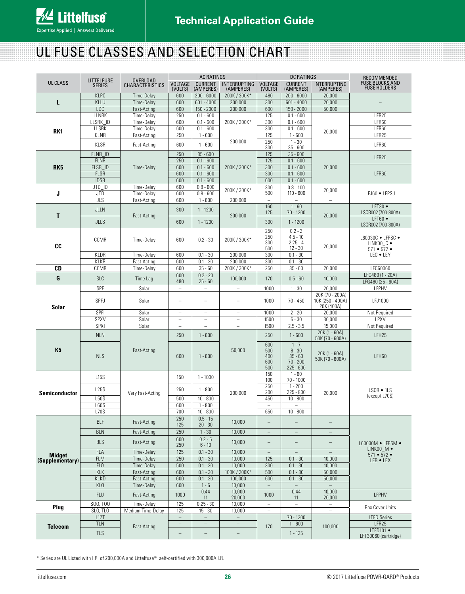# UL FUSE CLASSES AND SELECTION CHART

|                                  | <b>LITTELFUSE</b>           |                                    | <b>AC RATINGS</b>                                    |                                      |                                      | <b>DC RATINGS</b>               |                                      |                                     | RECOMMENDED                                   |
|----------------------------------|-----------------------------|------------------------------------|------------------------------------------------------|--------------------------------------|--------------------------------------|---------------------------------|--------------------------------------|-------------------------------------|-----------------------------------------------|
| <b>UL CLASS</b>                  | <b>SERIES</b>               | <b>OVERLOAD</b><br>CHARACTERISTICS | <b>VOLTAGE</b><br>(VOLTS)                            | <b>CURRENT</b><br>(AMPERES)          | <b>INTERRUPTING</b><br>(AMPERES)     | <b>VOLTAGE</b><br>(VOLTS)       | <b>CURRENT</b><br>(AMPERES)          | <b>INTERRUPTING</b><br>(AMPERES)    | <b>FUSE BLOCKS AND</b><br><b>FUSE HOLDERS</b> |
|                                  | <b>KLPC</b>                 | Time-Delay                         | 600                                                  | $200 - 6000$                         | 200K / 300K*                         | 480                             | $200 - 6000$                         | 20,000                              |                                               |
| L                                | <b>KLLU</b>                 | Time-Delay                         | 600                                                  | $601 - 4000$                         | 200,000                              | 300                             | $601 - 4000$                         | 20,000                              |                                               |
|                                  | LDC                         | Fast-Acting                        | 600                                                  | $150 - 2000$                         | 200,000                              | 600                             | 150 - 2000                           | 50,000                              |                                               |
|                                  | LLNRK                       | Time-Delay                         | 250                                                  | $0.1 - 600$                          |                                      | 125                             | $0.1 - 600$                          |                                     | LFR25                                         |
|                                  | LLSRK_ID                    | Time-Delay                         | 600                                                  | $0.1 - 600$<br>$0.1 - 600$           | 200K / 300K*                         | 300                             | $0.1 - 600$<br>$0.1 - 600$           |                                     | LFR60<br>LFR60                                |
| RK <sub>1</sub>                  | <b>LLSRK</b><br><b>KLNR</b> | Time-Delay<br>Fast-Acting          | 600<br>250                                           | $1 - 600$                            |                                      | 300<br>125                      | $1 - 600$                            | 20,000                              | LFR25                                         |
|                                  |                             |                                    |                                                      |                                      | 200,000                              | 250                             | $1 - 30$                             |                                     |                                               |
|                                  | <b>KLSR</b>                 | Fast-Acting                        | 600                                                  | $1 - 600$                            |                                      | 300                             | $35 - 600$                           |                                     | LFR60                                         |
|                                  | FLNR ID                     |                                    | 250                                                  | $35 - 600$                           |                                      | 125                             | $35 - 600$                           |                                     | LFR25                                         |
| RK <sub>5</sub>                  | <b>FLNR</b><br>FLSR ID      | Time-Delay                         | 250<br>600                                           | $0.1 - 600$<br>$0.1 - 600$           | 200K / 300K*                         | 125<br>300                      | $0.1 - 600$<br>$0.1 - 600$           | 20,000                              |                                               |
|                                  | <b>FLSR</b>                 |                                    | 600                                                  | $0.1 - 600$                          |                                      | 300                             | $0.1 - 600$                          |                                     | LFR60                                         |
|                                  | <b>IDSR</b>                 |                                    | 600                                                  | $0.1 - 600$                          |                                      | 600                             | $0.1 - 600$                          |                                     |                                               |
|                                  | JTD ID                      | Time-Delay                         | 600                                                  | $0.8 - 600$                          | 200K / 300K*                         | 300                             | $0.8 - 100$                          | 20,000                              |                                               |
| J                                | <b>JTD</b>                  | Time-Delay                         | 600                                                  | $0.8 - 600$                          |                                      | 500                             | $110 - 600$                          |                                     | LFJ60 · LFPSJ                                 |
|                                  | JLS                         | Fast-Acting                        | 600                                                  | $1 - 600$                            | 200,000                              | $\overline{\phantom{a}}$<br>160 | $\overline{\phantom{a}}$<br>$1 - 60$ | $\overline{\phantom{a}}$            | $LFT30$ $\bullet$                             |
|                                  | JLLN                        |                                    | 300                                                  | $1 - 1200$                           |                                      | 125                             | 70 - 1200                            |                                     | LSCR002 (700-800A)                            |
| Т                                | <b>JLLS</b>                 | Fast-Acting                        | 600                                                  | $1 - 1200$                           | 200,000                              | 300                             | $1 - 1200$                           | 20,000                              | $LFT60$ $\bullet$                             |
|                                  |                             |                                    |                                                      |                                      |                                      |                                 |                                      |                                     | LSCR002 (700-800A)                            |
|                                  |                             |                                    |                                                      |                                      |                                      | 250<br>250                      | $0.2 - 2$<br>$4.5 - 10$              |                                     | L60030C . LFPSC .                             |
|                                  | CCMR                        | Time-Delay                         | 600                                                  | $0.2 - 30$                           | 200K / 300K*                         | 300                             | $2.25 - 4$                           |                                     | LINKOO C .                                    |
| CC                               |                             |                                    |                                                      |                                      |                                      | 500                             | $12 - 30$                            | 20,000                              | $571 - 572 -$                                 |
|                                  | KLDR                        | Time-Delav                         | 600                                                  | $0.1 - 30$                           | 200.000                              | 300                             | $0.1 - 30$                           |                                     | LEC . LEY                                     |
| CD                               | KLKR<br>CCMR                | Fast-Acting<br>Time-Delay          | 600<br>600                                           | $0.1 - 30$<br>$35 - 60$              | 200,000<br>200K / 300K*              | 300<br>250                      | $0.1 - 30$<br>$35 - 60$              | 20,000                              | LFC60060                                      |
|                                  |                             |                                    | 600                                                  | $0.2 - 20$                           |                                      |                                 |                                      |                                     | LFG480 (1 - 20A)                              |
| G                                | <b>SLC</b>                  | Time Lag                           | 480                                                  | $25 - 60$                            | 100,000                              | 170                             | $0.5 - 60$                           | 10,000                              | LFG480 (25 - 60A)                             |
|                                  | SPF                         | Solar                              | $\overline{\phantom{a}}$                             | $\overline{\phantom{m}}$             | $\overline{\phantom{a}}$             | 1000                            | $1 - 30$                             | 20,000                              | LFPHV                                         |
| Solar                            | <b>SPFJ</b>                 | Solar                              | $\overline{\phantom{0}}$                             |                                      | $\overline{\phantom{0}}$             | 1000                            | $70 - 450$                           | 20K (70 - 200A)<br>10K (250 - 400A) | LFJ1000                                       |
|                                  |                             |                                    |                                                      |                                      |                                      |                                 |                                      | 20K (400A)                          |                                               |
|                                  | SPFI                        | Solar                              | $\qquad \qquad -$                                    | $\overline{\phantom{a}}$             | $\qquad \qquad -$                    | 1000                            | $2 - 20$                             | 20,000                              | Not Required                                  |
|                                  | SPXV                        | Solar                              | $\equiv$                                             | $\equiv$                             | $\equiv$                             | 1500                            | $6 - 30$                             | 30,000                              | LPXV                                          |
|                                  | <b>SPXI</b>                 | Solar                              | $\equiv$                                             |                                      | $\equiv$                             | 1500                            | $2.5 - 3.5$                          | 15,000<br>20K (1 - 60A)             | Not Required                                  |
|                                  | <b>NLN</b>                  |                                    | 250                                                  | $1 - 600$                            |                                      | 250                             | $1 - 600$                            | 50K (70 - 600A)                     | LFH25                                         |
|                                  |                             | Fast-Acting                        |                                                      |                                      |                                      | 600                             | $1 - 7$                              |                                     |                                               |
| <b>K5</b>                        | <b>NLS</b>                  |                                    | 600                                                  | $1 - 600$                            | 50,000                               | 500<br>400                      | $8 - 30$<br>$35 - 60$                | 20K (1 - 60A)                       | LFH60                                         |
|                                  |                             |                                    |                                                      |                                      |                                      |                                 | 600                                  | $70 - 200$                          | 50K (70 - 600A)                               |
|                                  |                             |                                    |                                                      |                                      |                                      | 500                             | $225 - 600$                          |                                     |                                               |
|                                  | <b>L15S</b>                 |                                    | 150                                                  | $1 - 1000$                           |                                      | 150<br>100                      | $1 - 60$<br>$70 - 1000$              |                                     |                                               |
|                                  |                             |                                    |                                                      |                                      |                                      | 250                             | $1 - 200$                            |                                     |                                               |
| <b>Semiconductor</b>             | <b>L25S</b>                 | Very Fast-Acting                   | 250                                                  | $1 - 800$                            | 200,000                              | 200                             | $225 - 800$                          | 20,000                              | LSCR • 1LS<br>(except L70S)                   |
|                                  | <b>L50S</b>                 |                                    | 500                                                  | $10 - 800$                           |                                      | 450                             | $10 - 800$                           |                                     |                                               |
|                                  | L60S<br><b>L70S</b>         |                                    | 600<br>700                                           | $1 - 800$<br>$\overline{10} - 800$   |                                      | $\equiv$<br>650                 | $10 - 800$                           |                                     |                                               |
|                                  |                             |                                    | 250                                                  | $0.5 - 15$                           |                                      |                                 |                                      |                                     |                                               |
|                                  | <b>BLF</b>                  | Fast-Acting                        | 125                                                  | $20 - 30$                            | 10,000                               | $\qquad \qquad -$               |                                      |                                     |                                               |
|                                  | <b>BLN</b>                  | Fast-Acting                        | 250                                                  | $1 - 30$                             | 10,000                               | $\overline{\phantom{0}}$        |                                      | $\overline{\phantom{m}}$            |                                               |
|                                  | <b>BLS</b>                  | Fast-Acting                        | 600<br>250                                           | $0.2 - 5$<br>$6 - 10$                | 10,000                               | $\qquad \qquad -$               |                                      | $\qquad \qquad -$                   | L60030M . LFPSM .                             |
|                                  | <b>FLA</b>                  | Time-Delay                         | 125                                                  | $0.1 - 30$                           | 10,000                               | $\overline{\phantom{a}}$        | $\qquad \qquad -$                    | $\overline{\phantom{0}}$            | LINK00_M •                                    |
| <b>Midget</b><br>(Supplementary) | <b>FLM</b>                  | Time-Delay                         | 250                                                  | $0.1 - 30$                           | 10,000                               | 125                             | $0.1 - 30$                           | 10,000                              | $571 - 572 -$<br>LEB . LEX                    |
|                                  | FLO                         | Time-Delay                         | 500                                                  | $0.1 - 30$                           | 10,000                               | 300                             | $0.1 - 30$                           | 10,000                              |                                               |
|                                  | <b>KLK</b>                  | Fast-Acting                        | 600                                                  | $0.1 - 30$                           | 100K / 200K*                         | 500                             | $0.1 - 30$                           | 50,000                              |                                               |
|                                  | <b>KLKD</b>                 | Fast-Acting                        | 600                                                  | $0.1 - 30$                           | 100,000                              | 600                             | $0.1 - 30$                           | 50,000                              |                                               |
|                                  | <b>KLO</b>                  | Time-Delay                         | 600                                                  | $1 - 6$<br>0.44                      | 10,000<br>10,000                     | $\equiv$                        | 0.44                                 | $\equiv$<br>10,000                  |                                               |
|                                  | <b>FLU</b>                  | Fast-Acting                        | 1000                                                 | 11                                   | 20,000                               | 1000                            | 11                                   | 20,000                              | LFPHV                                         |
| Plug                             | SOO. TOO                    | Time-Delay                         | 125                                                  | $0.25 - 30$                          | 10,000                               | $\overline{\phantom{0}}$        | $\overline{\phantom{0}}$             |                                     | <b>Box Cover Units</b>                        |
|                                  | SLO, TLO                    | Medium Time-Delay                  | 125                                                  | $15 - 30$                            | 10,000                               | $\overline{\phantom{0}}$        | $\equiv$                             | $\equiv$                            |                                               |
|                                  | L17T<br><b>TLN</b>          |                                    | $\overline{\phantom{a}}$<br>$\overline{\phantom{a}}$ | $\equiv$<br>$\overline{\phantom{a}}$ | $\equiv$<br>$\overline{\phantom{m}}$ |                                 | 70 - 1200<br>$1 - 600$               |                                     | <b>LTFD Series</b><br>LFR25                   |
| <b>Telecom</b>                   |                             | Fast-Acting                        |                                                      |                                      |                                      | 170                             |                                      | 100,000                             | LTFD101 $\bullet$                             |
|                                  | <b>TLS</b>                  |                                    | $\overline{\phantom{0}}$                             | $\qquad \qquad -$                    | -                                    |                                 | $1 - 125$                            |                                     | LFT30060 (cartridge)                          |

\* Series are UL Listed with I.R. of 200,000A and Littelfuse® self-certified with 300,000A I.R.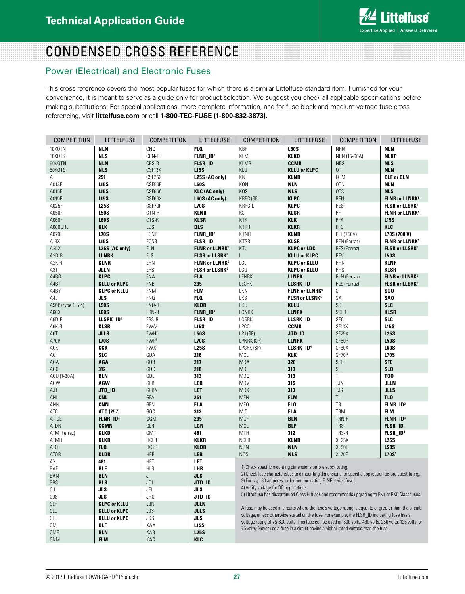

# CONDENSED CROSS REFERENCE

## Power (Electrical) and Electronic Fuses

This cross reference covers the most popular fuses for which there is a similar Littelfuse standard item. Furnished for your convenience, it is meant to serve as a guide only for product selection. We suggest you check all applicable specifications before making substitutions. For special applications, more complete information, and for fuse block and medium voltage fuse cross referencing, visit **littelfuse.com** or call **1-800-TEC-FUSE (1-800-832-3873).**

| COMPETITION       | LITTELFUSE            | <b>COMPETITION</b> | LITTELFUSE                         | <b>COMPETITION</b>                     | <b>LITTELFUSE</b>                                                 | COMPETITION                                                                                             | LITTELFUSE                       |
|-------------------|-----------------------|--------------------|------------------------------------|----------------------------------------|-------------------------------------------------------------------|---------------------------------------------------------------------------------------------------------|----------------------------------|
| 10KOTN            | <b>NLN</b>            | CNO                | FLO.                               | KBH                                    | <b>L50S</b>                                                       | <b>NRN</b>                                                                                              | <b>NLN</b>                       |
| 10KOTS            | <b>NLS</b>            | CRN-R              | FLNR_ID <sup>3</sup>               | KLM                                    | <b>KLKD</b>                                                       | NRN (15-60A)                                                                                            | <b>NLKP</b>                      |
| 50KOTN            | <b>NLN</b>            | CRS-R              | <b>FLSR_ID</b>                     | <b>KLMR</b>                            | <b>CCMR</b>                                                       | <b>NRS</b>                                                                                              | <b>NLS</b>                       |
| 50KOTS            | <b>NLS</b>            | CSF13X             | <b>L15S</b>                        | KLU                                    | <b>KLLU or KLPC</b>                                               | OT.                                                                                                     | <b>NLN</b>                       |
| Α                 | 251                   | CSF25X             | L25S (AC only)                     | ΚN                                     | KLNR                                                              | 0TM                                                                                                     | <b>BLF or BLN</b>                |
| A013F             | <b>L15S</b>           | CSF50P             | <b>L50S</b>                        | <b>KON</b>                             | <b>NLN</b>                                                        | 0TN                                                                                                     | <b>NLN</b>                       |
| A015F             | <b>L15S</b>           | CSF60C             | <b>KLC (AC only)</b>               | KOS                                    | <b>NLS</b>                                                        | <b>OTS</b>                                                                                              | <b>NLS</b>                       |
| A015R             | <b>L15S</b>           | CSF60X             | L60S (AC only)                     | <b>KRPC (SP)</b>                       | <b>KLPC</b>                                                       | <b>REN</b>                                                                                              | <b>FLNR or LLNRK<sup>5</sup></b> |
| A025F             | <b>L25S</b>           | CSF70P             | <b>L70S</b>                        | KRPC-L                                 | <b>KLPC</b>                                                       | <b>RES</b>                                                                                              | <b>FLSR or LLSRK<sup>5</sup></b> |
| A050F             | <b>L50S</b>           | CTN-R              | <b>KLNR</b>                        | KS                                     | <b>KLSR</b>                                                       | RF                                                                                                      | <b>FLNR or LLNRK<sup>5</sup></b> |
| A060F             | <b>L60S</b>           | CTS-R              | <b>KLSR</b>                        | <b>KTK</b>                             | <b>KLK</b>                                                        | <b>RFA</b>                                                                                              | <b>L15S</b>                      |
| A060URL           | <b>KLK</b>            | EBS                | <b>BLS</b>                         | <b>KTKR</b>                            | <b>KLKR</b>                                                       | <b>RFC</b>                                                                                              | <b>KLC</b>                       |
| A070F             | <b>L70S</b>           | ECNR               | FLNR_ID <sup>3</sup>               | <b>KTNR</b>                            | KLNR                                                              | RFL (750V)                                                                                              | L70S (700 V)                     |
| A13X              | <b>L15S</b>           | ECSR               | <b>FLSR_ID</b>                     | <b>KTSR</b>                            | <b>KLSR</b>                                                       | RFN (Ferraz)                                                                                            | <b>FLNR or LLNRK<sup>5</sup></b> |
| A25X              | L25S (AC only)        | <b>ELN</b>         | <b>FLNR or LLNRK<sup>5</sup></b>   | KTU                                    | <b>KLPC or LDC</b>                                                | RFS (Ferraz)                                                                                            | <b>FLSR or LLSRK<sup>5</sup></b> |
| A2D-R             | <b>LLNRK</b>          | ELS                | <b>FLSR or LLSRK<sup>5</sup></b>   | L                                      | <b>KLLU or KLPC</b>                                               | <b>RFV</b>                                                                                              | <b>L50S</b>                      |
| A2K-R             | <b>KLNR</b>           | ERN                | <b>FLNR or LLNRK<sup>5</sup></b>   | LCL                                    | <b>KLPC or KLLU</b>                                               | RHN                                                                                                     | <b>KLNR</b>                      |
| A3T               | <b>JLLN</b>           | ERS                | <b>FLSR or LLSRK<sup>5</sup></b>   | LCU                                    | <b>KLPC or KLLU</b>                                               | <b>RHS</b>                                                                                              | <b>KLSR</b>                      |
| A4BQ              | <b>KLPC</b>           | <b>FNA</b>         | <b>FLA</b>                         | <b>LENRK</b>                           | <b>LLNRK</b>                                                      | RLN (Ferraz)                                                                                            | <b>FLNR or LLNRK<sup>5</sup></b> |
| A4BT              | <b>KLLU or KLPC</b>   | <b>FNB</b>         | 235                                | LESRK                                  | LLSRK_ID                                                          | RLS (Ferraz)                                                                                            | <b>FLSR or LLSRK<sup>5</sup></b> |
| A4BY              | <b>KLPC or KLLU</b>   | <b>FNM</b>         | <b>FLM</b>                         | LKN                                    | <b>FLNR or LLNRK<sup>5</sup></b>                                  | S                                                                                                       | <b>SOO</b>                       |
| A4J               | JLS                   | <b>FNQ</b>         | FLO.                               | LKS                                    | <b>FLSR or LLSRK<sup>5</sup></b>                                  | SA                                                                                                      | SA <sub>0</sub>                  |
| A50P (type 1 & 4) | <b>L50S</b>           | FNQ-R              | <b>KLDR</b>                        | LKU                                    | <b>KLLU</b>                                                       | SC                                                                                                      | <b>SLC</b>                       |
| A60X              | <b>L60S</b>           | FRN-R              | $FLNR$ <sub><math>ID3</math></sub> | LONRK                                  | <b>LLNRK</b>                                                      | <b>SCLR</b>                                                                                             | <b>KLSR</b>                      |
| A6D-R             | LLSRK_ID <sup>4</sup> | FRS-R              | <b>FLSR_ID</b>                     | LOSRK                                  | LLSRK_ID                                                          | <b>SEC</b>                                                                                              | <b>SLC</b>                       |
| A6K-R             | <b>KLSR</b>           | FWA <sup>2</sup>   | <b>L15S</b>                        | LPCC                                   | <b>CCMR</b>                                                       | SF <sub>13</sub> X                                                                                      | <b>L15S</b>                      |
| A6T               | <b>JLLS</b>           | FWH <sup>2</sup>   | <b>L50S</b>                        | LPJ (SP)                               | JTD_ID                                                            | SF <sub>25</sub> X                                                                                      | <b>L25S</b>                      |
| A70P              | <b>L70S</b>           | FWP <sup>1</sup>   | <b>L70S</b>                        | LPNRK (SP)                             | <b>LLNRK</b>                                                      | SF50P                                                                                                   | <b>L50S</b>                      |
| ACK               | <b>CCK</b>            | FWX <sup>1</sup>   | <b>L25S</b>                        | LPSRK (SP)                             | LLSRK_ID <sup>4</sup>                                             | SF60X                                                                                                   | <b>L60S</b>                      |
| AG                | <b>SLC</b>            | GDA                | 216                                | <b>MCL</b>                             | KLK                                                               | SF70P                                                                                                   | <b>L70S</b>                      |
| AGA               | <b>AGA</b>            | GDB                | 217                                | <b>MDA</b>                             | 326                                                               | <b>SFE</b>                                                                                              | <b>SFE</b>                       |
| AGC               | 312                   | GDC                | 218                                | <b>MDL</b>                             | 313                                                               | SL                                                                                                      | <b>SLO</b>                       |
| AGU (1-30A)       | <b>BLN</b>            | GDL                | 313                                | MD <sub>0</sub>                        | 313                                                               | T                                                                                                       | <b>T00</b>                       |
| AGW               | AGW                   | GEB                | <b>LEB</b>                         | MDV                                    | 315                                                               | <b>TJN</b>                                                                                              | <b>JLLN</b>                      |
| AJT               | JTD_ID                | <b>GEBN</b>        | LET                                | <b>MDX</b>                             | 313                                                               | <b>TJS</b>                                                                                              | <b>JLLS</b>                      |
| ANL               | <b>CNL</b>            | GFA                | 251                                | <b>MEN</b>                             | <b>FLM</b>                                                        | TL.                                                                                                     | TL <sub>0</sub>                  |
| ANN               | <b>CNN</b>            | GFN                | <b>FLA</b>                         | ME <sub>0</sub>                        | <b>FLO</b>                                                        | TR                                                                                                      | FLNR_ID <sup>3</sup>             |
| ATC               | ATO (257)             | GGC                | 312                                | <b>MID</b>                             | <b>FLA</b>                                                        | <b>TRM</b>                                                                                              | <b>FLM</b>                       |
| AT-DE             | FLNR_ID <sup>3</sup>  | GGM                | 235                                | <b>MOF</b>                             | <b>BLN</b>                                                        | TRN-R                                                                                                   | FLNR_ID <sup>3</sup>             |
| <b>ATDR</b>       | <b>CCMR</b>           | GLR                | LGR                                | <b>MOL</b>                             | <b>BLF</b>                                                        | <b>TRS</b>                                                                                              | <b>FLSR_ID</b>                   |
| ATM (Ferraz)      | KLKD                  | <b>GMT</b>         | 481                                | MTH                                    | 312                                                               | TRS-R                                                                                                   | FLSR_ID <sup>4</sup>             |
| ATMR              | <b>KLKR</b>           | <b>HCLR</b>        | <b>KLKR</b>                        | <b>NCLR</b>                            | <b>KLNR</b>                                                       | XL25X                                                                                                   | <b>L25S</b>                      |
| AT <sub>0</sub>   | FLO.                  | <b>HCTR</b>        | <b>KLDR</b>                        | <b>NON</b>                             | <b>NLN</b>                                                        | XL50F                                                                                                   | L50S <sup>1</sup>                |
| <b>ATQR</b>       | <b>KLDR</b>           | <b>HEB</b>         | <b>LEB</b>                         | <b>NOS</b>                             | <b>NLS</b>                                                        | XL70F                                                                                                   | L70S <sup>1</sup>                |
| AX                | 481                   | <b>HET</b>         | LET                                |                                        |                                                                   |                                                                                                         |                                  |
| BAF               | <b>BLF</b>            | <b>HLR</b>         | LHR                                |                                        | 1) Check specific mounting dimensions before substituting.        |                                                                                                         |                                  |
| BAN               | <b>BLN</b>            | J                  | <b>JLS</b>                         |                                        |                                                                   | 2) Check fuse characteristics and mounting dimensions for specific application before substituting.     |                                  |
| <b>BBS</b>        | <b>BLS</b>            | JDL                | JTD_ID                             |                                        | 3) For 1/10 - 30 amperes, order non-indicating FLNR series fuses. |                                                                                                         |                                  |
| CJ                | JLS                   | JFL                | JLS                                | 4) Verify voltage for DC applications. |                                                                   |                                                                                                         |                                  |
| CJS               | JLS                   | <b>JHC</b>         | JTD_ID                             |                                        |                                                                   | 5) Littelfuse has discontinued Class H fuses and recommends upgrading to RK1 or RK5 Class fuses.        |                                  |
| CLF               | <b>KLPC or KLLU</b>   |                    | <b>JLLN</b>                        |                                        |                                                                   |                                                                                                         |                                  |
| CLL               | <b>KLLU or KLPC</b>   | JJN<br>JJS         | <b>JLLS</b>                        |                                        |                                                                   | A fuse may be used in circuits where the fuse's voltage rating is equal to or greater than the circuit  |                                  |
|                   |                       |                    |                                    |                                        |                                                                   | voltage, unless otherwise stated on the fuse. For example, the FLSR ID indicating fuse has a            |                                  |
| CLU               | <b>KLLU or KLPC</b>   | JKS                | JLS                                |                                        |                                                                   | voltage rating of 75-600 volts. This fuse can be used on 600 volts, 480 volts, 250 volts, 125 volts, or |                                  |
| СM                | BLF                   | KAA                | <b>L15S</b>                        |                                        |                                                                   | 75 volts. Never use a fuse in a circuit having a higher rated voltage than the fuse.                    |                                  |
| CMF               | BLN                   | KAB                | <b>L25S</b>                        |                                        |                                                                   |                                                                                                         |                                  |
| <b>CNM</b>        | FLM                   | KAC                | KLC                                |                                        |                                                                   |                                                                                                         |                                  |